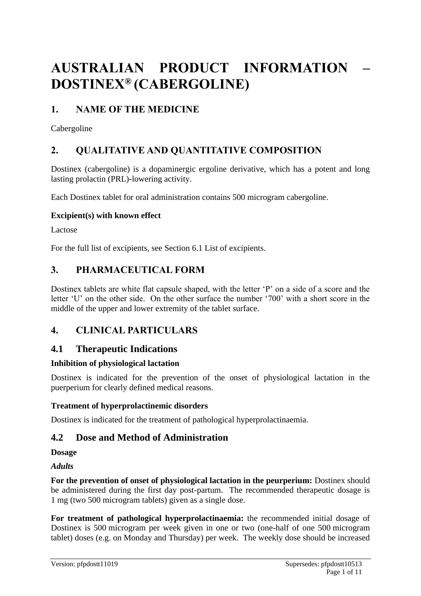# **AUSTRALIAN PRODUCT INFORMATION – DOSTINEX® (CABERGOLINE)**

# **1. NAME OF THE MEDICINE**

Cabergoline

# **2. QUALITATIVE AND QUANTITATIVE COMPOSITION**

Dostinex (cabergoline) is a dopaminergic ergoline derivative, which has a potent and long lasting prolactin (PRL)-lowering activity.

Each Dostinex tablet for oral administration contains 500 microgram cabergoline.

### **Excipient(s) with known effect**

Lactose

For the full list of excipients, see Section 6.1 List of excipients.

# **3. PHARMACEUTICAL FORM**

Dostinex tablets are white flat capsule shaped, with the letter 'P' on a side of a score and the letter 'U' on the other side. On the other surface the number '700' with a short score in the middle of the upper and lower extremity of the tablet surface.

# **4. CLINICAL PARTICULARS**

### **4.1 Therapeutic Indications**

### **Inhibition of physiological lactation**

Dostinex is indicated for the prevention of the onset of physiological lactation in the puerperium for clearly defined medical reasons.

### **Treatment of hyperprolactinemic disorders**

Dostinex is indicated for the treatment of pathological hyperprolactinaemia.

# **4.2 Dose and Method of Administration**

**Dosage** 

*Adults*

**For the prevention of onset of physiological lactation in the peurperium:** Dostinex should be administered during the first day post-partum. The recommended therapeutic dosage is 1 mg (two 500 microgram tablets) given as a single dose.

**For treatment of pathological hyperprolactinaemia:** the recommended initial dosage of Dostinex is 500 microgram per week given in one or two (one-half of one 500 microgram tablet) doses (e.g. on Monday and Thursday) per week. The weekly dose should be increased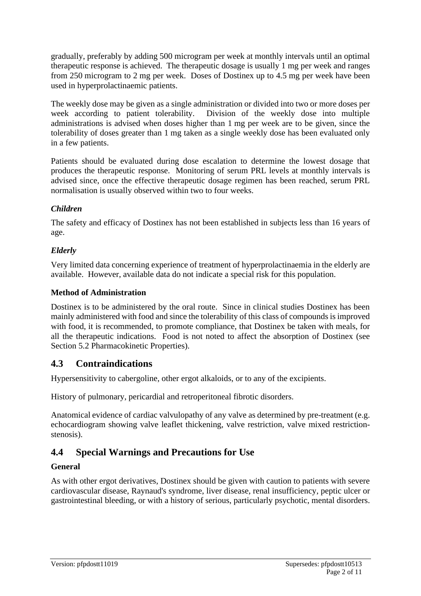gradually, preferably by adding 500 microgram per week at monthly intervals until an optimal therapeutic response is achieved. The therapeutic dosage is usually 1 mg per week and ranges from 250 microgram to 2 mg per week. Doses of Dostinex up to 4.5 mg per week have been used in hyperprolactinaemic patients.

The weekly dose may be given as a single administration or divided into two or more doses per week according to patient tolerability. Division of the weekly dose into multiple administrations is advised when doses higher than 1 mg per week are to be given, since the tolerability of doses greater than 1 mg taken as a single weekly dose has been evaluated only in a few patients.

Patients should be evaluated during dose escalation to determine the lowest dosage that produces the therapeutic response. Monitoring of serum PRL levels at monthly intervals is advised since, once the effective therapeutic dosage regimen has been reached, serum PRL normalisation is usually observed within two to four weeks.

### *Children*

The safety and efficacy of Dostinex has not been established in subjects less than 16 years of age.

### *Elderly*

Very limited data concerning experience of treatment of hyperprolactinaemia in the elderly are available. However, available data do not indicate a special risk for this population.

### **Method of Administration**

Dostinex is to be administered by the oral route. Since in clinical studies Dostinex has been mainly administered with food and since the tolerability of this class of compounds is improved with food, it is recommended, to promote compliance, that Dostinex be taken with meals, for all the therapeutic indications. Food is not noted to affect the absorption of Dostinex (see Section 5.2 Pharmacokinetic Properties).

# **4.3 Contraindications**

Hypersensitivity to cabergoline, other ergot alkaloids, or to any of the excipients.

History of pulmonary, pericardial and retroperitoneal fibrotic disorders.

Anatomical evidence of cardiac valvulopathy of any valve as determined by pre-treatment (e.g. echocardiogram showing valve leaflet thickening, valve restriction, valve mixed restrictionstenosis).

# **4.4 Special Warnings and Precautions for Use**

### **General**

As with other ergot derivatives, Dostinex should be given with caution to patients with severe cardiovascular disease, Raynaud's syndrome, liver disease, renal insufficiency, peptic ulcer or gastrointestinal bleeding, or with a history of serious, particularly psychotic, mental disorders.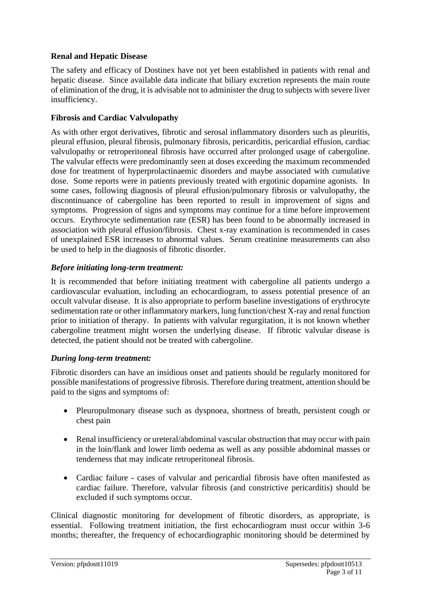### **Renal and Hepatic Disease**

The safety and efficacy of Dostinex have not yet been established in patients with renal and hepatic disease. Since available data indicate that biliary excretion represents the main route of elimination of the drug, it is advisable not to administer the drug to subjects with severe liver insufficiency.

#### **Fibrosis and Cardiac Valvulopathy**

As with other ergot derivatives, fibrotic and serosal inflammatory disorders such as pleuritis, pleural effusion, pleural fibrosis, pulmonary fibrosis, pericarditis, pericardial effusion, cardiac valvulopathy or retroperitoneal fibrosis have occurred after prolonged usage of cabergoline. The valvular effects were predominantly seen at doses exceeding the maximum recommended dose for treatment of hyperprolactinaemic disorders and maybe associated with cumulative dose. Some reports were in patients previously treated with ergotinic dopamine agonists. In some cases, following diagnosis of pleural effusion/pulmonary fibrosis or valvulopathy, the discontinuance of cabergoline has been reported to result in improvement of signs and symptoms. Progression of signs and symptoms may continue for a time before improvement occurs. Erythrocyte sedimentation rate (ESR) has been found to be abnormally increased in association with pleural effusion/fibrosis. Chest x-ray examination is recommended in cases of unexplained ESR increases to abnormal values. Serum creatinine measurements can also be used to help in the diagnosis of fibrotic disorder.

### *Before initiating long-term treatment:*

It is recommended that before initiating treatment with cabergoline all patients undergo a cardiovascular evaluation, including an echocardiogram, to assess potential presence of an occult valvular disease. It is also appropriate to perform baseline investigations of erythrocyte sedimentation rate or other inflammatory markers, lung function/chest X-ray and renal function prior to initiation of therapy. In patients with valvular regurgitation, it is not known whether cabergoline treatment might worsen the underlying disease. If fibrotic valvular disease is detected, the patient should not be treated with cabergoline.

#### *During long-term treatment:*

Fibrotic disorders can have an insidious onset and patients should be regularly monitored for possible manifestations of progressive fibrosis. Therefore during treatment, attention should be paid to the signs and symptoms of:

- Pleuropulmonary disease such as dyspnoea, shortness of breath, persistent cough or chest pain
- Renal insufficiency or ureteral/abdominal vascular obstruction that may occur with pain in the loin/flank and lower limb oedema as well as any possible abdominal masses or tenderness that may indicate retroperitoneal fibrosis.
- Cardiac failure cases of valvular and pericardial fibrosis have often manifested as cardiac failure. Therefore, valvular fibrosis (and constrictive pericarditis) should be excluded if such symptoms occur.

Clinical diagnostic monitoring for development of fibrotic disorders, as appropriate, is essential. Following treatment initiation, the first echocardiogram must occur within 3-6 months; thereafter, the frequency of echocardiographic monitoring should be determined by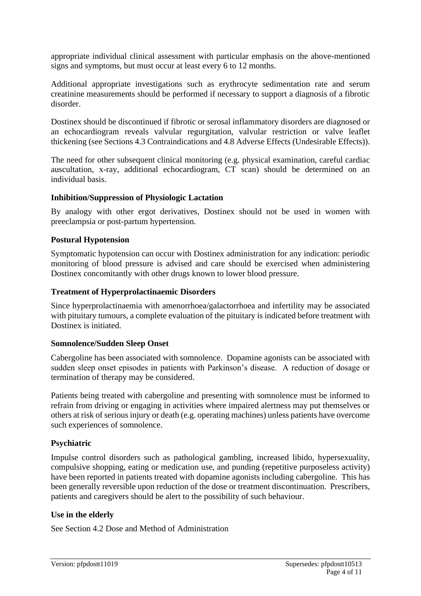appropriate individual clinical assessment with particular emphasis on the above-mentioned signs and symptoms, but must occur at least every 6 to 12 months.

Additional appropriate investigations such as erythrocyte sedimentation rate and serum creatinine measurements should be performed if necessary to support a diagnosis of a fibrotic disorder.

Dostinex should be discontinued if fibrotic or serosal inflammatory disorders are diagnosed or an echocardiogram reveals valvular regurgitation, valvular restriction or valve leaflet thickening (see Sections 4.3 Contraindications and 4.8 Adverse Effects (Undesirable Effects)).

The need for other subsequent clinical monitoring (e.g. physical examination, careful cardiac auscultation, x-ray, additional echocardiogram, CT scan) should be determined on an individual basis.

#### **Inhibition/Suppression of Physiologic Lactation**

By analogy with other ergot derivatives, Dostinex should not be used in women with preeclampsia or post-partum hypertension.

#### **Postural Hypotension**

Symptomatic hypotension can occur with Dostinex administration for any indication: periodic monitoring of blood pressure is advised and care should be exercised when administering Dostinex concomitantly with other drugs known to lower blood pressure.

#### **Treatment of Hyperprolactinaemic Disorders**

Since hyperprolactinaemia with amenorrhoea/galactorrhoea and infertility may be associated with pituitary tumours, a complete evaluation of the pituitary is indicated before treatment with Dostinex is initiated.

#### **Somnolence/Sudden Sleep Onset**

Cabergoline has been associated with somnolence. Dopamine agonists can be associated with sudden sleep onset episodes in patients with Parkinson's disease. A reduction of dosage or termination of therapy may be considered.

Patients being treated with cabergoline and presenting with somnolence must be informed to refrain from driving or engaging in activities where impaired alertness may put themselves or others at risk of serious injury or death (e.g. operating machines) unless patients have overcome such experiences of somnolence.

#### **Psychiatric**

Impulse control disorders such as pathological gambling, increased libido, hypersexuality, compulsive shopping, eating or medication use, and punding (repetitive purposeless activity) have been reported in patients treated with dopamine agonists including cabergoline. This has been generally reversible upon reduction of the dose or treatment discontinuation. Prescribers, patients and caregivers should be alert to the possibility of such behaviour.

#### **Use in the elderly**

See Section 4.2 Dose and Method of Administration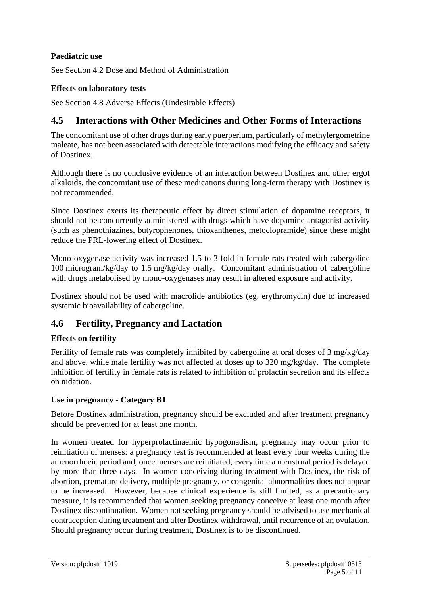### **Paediatric use**

See Section 4.2 Dose and Method of Administration

### **Effects on laboratory tests**

See Section 4.8 Adverse Effects (Undesirable Effects)

# **4.5 Interactions with Other Medicines and Other Forms of Interactions**

The concomitant use of other drugs during early puerperium, particularly of methylergometrine maleate, has not been associated with detectable interactions modifying the efficacy and safety of Dostinex.

Although there is no conclusive evidence of an interaction between Dostinex and other ergot alkaloids, the concomitant use of these medications during long-term therapy with Dostinex is not recommended.

Since Dostinex exerts its therapeutic effect by direct stimulation of dopamine receptors, it should not be concurrently administered with drugs which have dopamine antagonist activity (such as phenothiazines, butyrophenones, thioxanthenes, metoclopramide) since these might reduce the PRL-lowering effect of Dostinex.

Mono-oxygenase activity was increased 1.5 to 3 fold in female rats treated with cabergoline 100 microgram/kg/day to 1.5 mg/kg/day orally. Concomitant administration of cabergoline with drugs metabolised by mono-oxygenases may result in altered exposure and activity.

Dostinex should not be used with macrolide antibiotics (eg. erythromycin) due to increased systemic bioavailability of cabergoline.

### **4.6 Fertility, Pregnancy and Lactation**

### **Effects on fertility**

Fertility of female rats was completely inhibited by cabergoline at oral doses of 3 mg/kg/day and above, while male fertility was not affected at doses up to 320 mg/kg/day. The complete inhibition of fertility in female rats is related to inhibition of prolactin secretion and its effects on nidation.

#### **Use in pregnancy - Category B1**

Before Dostinex administration, pregnancy should be excluded and after treatment pregnancy should be prevented for at least one month.

In women treated for hyperprolactinaemic hypogonadism, pregnancy may occur prior to reinitiation of menses: a pregnancy test is recommended at least every four weeks during the amenorrhoeic period and, once menses are reinitiated, every time a menstrual period is delayed by more than three days. In women conceiving during treatment with Dostinex, the risk of abortion, premature delivery, multiple pregnancy, or congenital abnormalities does not appear to be increased. However, because clinical experience is still limited, as a precautionary measure, it is recommended that women seeking pregnancy conceive at least one month after Dostinex discontinuation. Women not seeking pregnancy should be advised to use mechanical contraception during treatment and after Dostinex withdrawal, until recurrence of an ovulation. Should pregnancy occur during treatment, Dostinex is to be discontinued.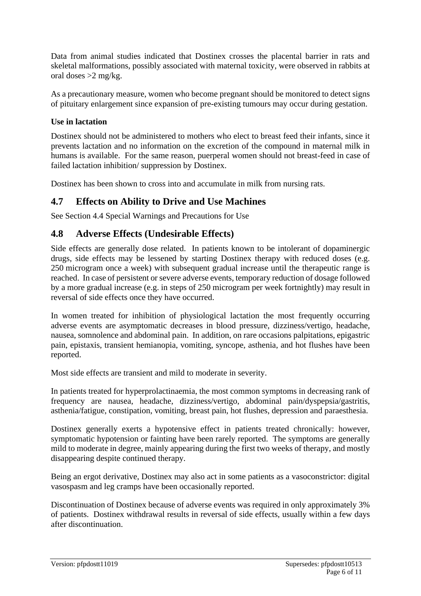Data from animal studies indicated that Dostinex crosses the placental barrier in rats and skeletal malformations, possibly associated with maternal toxicity, were observed in rabbits at oral doses >2 mg/kg.

As a precautionary measure, women who become pregnant should be monitored to detect signs of pituitary enlargement since expansion of pre-existing tumours may occur during gestation.

### **Use in lactation**

Dostinex should not be administered to mothers who elect to breast feed their infants, since it prevents lactation and no information on the excretion of the compound in maternal milk in humans is available. For the same reason, puerperal women should not breast-feed in case of failed lactation inhibition/ suppression by Dostinex.

Dostinex has been shown to cross into and accumulate in milk from nursing rats.

# **4.7 Effects on Ability to Drive and Use Machines**

See Section 4.4 Special Warnings and Precautions for Use

# **4.8 Adverse Effects (Undesirable Effects)**

Side effects are generally dose related. In patients known to be intolerant of dopaminergic drugs, side effects may be lessened by starting Dostinex therapy with reduced doses (e.g. 250 microgram once a week) with subsequent gradual increase until the therapeutic range is reached. In case of persistent or severe adverse events, temporary reduction of dosage followed by a more gradual increase (e.g. in steps of 250 microgram per week fortnightly) may result in reversal of side effects once they have occurred.

In women treated for inhibition of physiological lactation the most frequently occurring adverse events are asymptomatic decreases in blood pressure, dizziness/vertigo, headache, nausea, somnolence and abdominal pain. In addition, on rare occasions palpitations, epigastric pain, epistaxis, transient hemianopia, vomiting, syncope, asthenia, and hot flushes have been reported.

Most side effects are transient and mild to moderate in severity.

In patients treated for hyperprolactinaemia, the most common symptoms in decreasing rank of frequency are nausea, headache, dizziness/vertigo, abdominal pain/dyspepsia/gastritis, asthenia/fatigue, constipation, vomiting, breast pain, hot flushes, depression and paraesthesia.

Dostinex generally exerts a hypotensive effect in patients treated chronically: however, symptomatic hypotension or fainting have been rarely reported. The symptoms are generally mild to moderate in degree, mainly appearing during the first two weeks of therapy, and mostly disappearing despite continued therapy.

Being an ergot derivative, Dostinex may also act in some patients as a vasoconstrictor: digital vasospasm and leg cramps have been occasionally reported.

Discontinuation of Dostinex because of adverse events was required in only approximately 3% of patients. Dostinex withdrawal results in reversal of side effects, usually within a few days after discontinuation.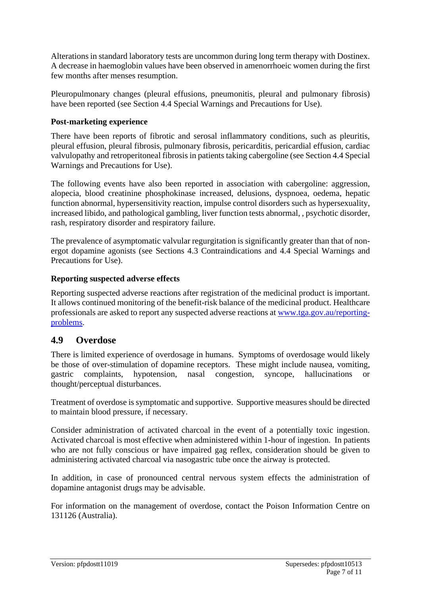Alterations in standard laboratory tests are uncommon during long term therapy with Dostinex. A decrease in haemoglobin values have been observed in amenorrhoeic women during the first few months after menses resumption.

Pleuropulmonary changes (pleural effusions, pneumonitis, pleural and pulmonary fibrosis) have been reported (see Section 4.4 Special Warnings and Precautions for Use).

### **Post-marketing experience**

There have been reports of fibrotic and serosal inflammatory conditions, such as pleuritis, pleural effusion, pleural fibrosis, pulmonary fibrosis, pericarditis, pericardial effusion, cardiac valvulopathy and retroperitoneal fibrosis in patients taking cabergoline (see Section 4.4 Special Warnings and Precautions for Use).

The following events have also been reported in association with cabergoline: aggression, alopecia, blood creatinine phosphokinase increased, delusions, dyspnoea, oedema, hepatic function abnormal, hypersensitivity reaction, impulse control disorders such as hypersexuality, increased libido, and pathological gambling, liver function tests abnormal, , psychotic disorder, rash, respiratory disorder and respiratory failure.

The prevalence of asymptomatic valvular regurgitation is significantly greater than that of nonergot dopamine agonists (see Sections 4.3 Contraindications and 4.4 Special Warnings and Precautions for Use).

#### **Reporting suspected adverse effects**

Reporting suspected adverse reactions after registration of the medicinal product is important. It allows continued monitoring of the benefit-risk balance of the medicinal product. Healthcare professionals are asked to report any suspected adverse reactions at [www.tga.gov.au/reporting](http://www.tga.gov.au/reporting-problems)[problems.](http://www.tga.gov.au/reporting-problems)

### **4.9 Overdose**

There is limited experience of overdosage in humans. Symptoms of overdosage would likely be those of over-stimulation of dopamine receptors. These might include nausea, vomiting, gastric complaints, hypotension, nasal congestion, syncope, hallucinations or thought/perceptual disturbances.

Treatment of overdose is symptomatic and supportive. Supportive measures should be directed to maintain blood pressure, if necessary.

Consider administration of activated charcoal in the event of a potentially toxic ingestion. Activated charcoal is most effective when administered within 1-hour of ingestion. In patients who are not fully conscious or have impaired gag reflex, consideration should be given to administering activated charcoal via nasogastric tube once the airway is protected.

In addition, in case of pronounced central nervous system effects the administration of dopamine antagonist drugs may be advisable.

For information on the management of overdose, contact the Poison Information Centre on 131126 (Australia).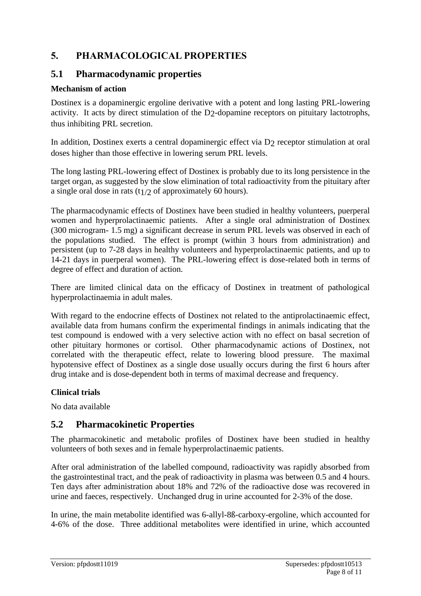# **5. PHARMACOLOGICAL PROPERTIES**

### **5.1 Pharmacodynamic properties**

### **Mechanism of action**

Dostinex is a dopaminergic ergoline derivative with a potent and long lasting PRL-lowering activity. It acts by direct stimulation of the D2-dopamine receptors on pituitary lactotrophs, thus inhibiting PRL secretion.

In addition, Dostinex exerts a central dopaminergic effect via D<sub>2</sub> receptor stimulation at oral doses higher than those effective in lowering serum PRL levels.

The long lasting PRL-lowering effect of Dostinex is probably due to its long persistence in the target organ, as suggested by the slow elimination of total radioactivity from the pituitary after a single oral dose in rats  $(t)/2$  of approximately 60 hours).

The pharmacodynamic effects of Dostinex have been studied in healthy volunteers, puerperal women and hyperprolactinaemic patients. After a single oral administration of Dostinex (300 microgram- 1.5 mg) a significant decrease in serum PRL levels was observed in each of the populations studied. The effect is prompt (within 3 hours from administration) and persistent (up to 7-28 days in healthy volunteers and hyperprolactinaemic patients, and up to 14-21 days in puerperal women). The PRL-lowering effect is dose-related both in terms of degree of effect and duration of action.

There are limited clinical data on the efficacy of Dostinex in treatment of pathological hyperprolactinaemia in adult males.

With regard to the endocrine effects of Dostinex not related to the antiprolactinaemic effect, available data from humans confirm the experimental findings in animals indicating that the test compound is endowed with a very selective action with no effect on basal secretion of other pituitary hormones or cortisol. Other pharmacodynamic actions of Dostinex, not correlated with the therapeutic effect, relate to lowering blood pressure. The maximal hypotensive effect of Dostinex as a single dose usually occurs during the first 6 hours after drug intake and is dose-dependent both in terms of maximal decrease and frequency.

### **Clinical trials**

No data available

### **5.2 Pharmacokinetic Properties**

The pharmacokinetic and metabolic profiles of Dostinex have been studied in healthy volunteers of both sexes and in female hyperprolactinaemic patients.

After oral administration of the labelled compound, radioactivity was rapidly absorbed from the gastrointestinal tract, and the peak of radioactivity in plasma was between 0.5 and 4 hours. Ten days after administration about 18% and 72% of the radioactive dose was recovered in urine and faeces, respectively. Unchanged drug in urine accounted for 2-3% of the dose.

In urine, the main metabolite identified was 6-allyl-8ß-carboxy-ergoline, which accounted for 4-6% of the dose. Three additional metabolites were identified in urine, which accounted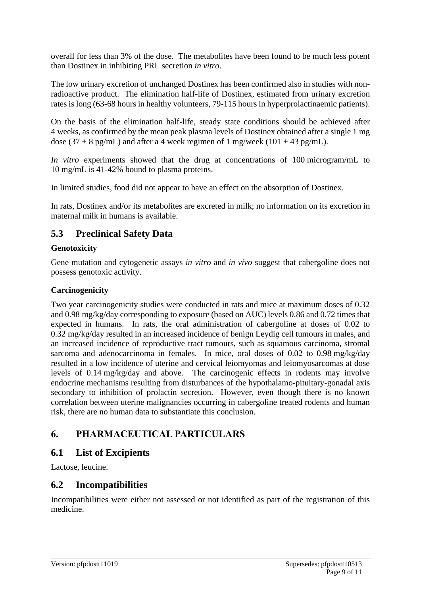overall for less than 3% of the dose. The metabolites have been found to be much less potent than Dostinex in inhibiting PRL secretion *in vitro*.

The low urinary excretion of unchanged Dostinex has been confirmed also in studies with nonradioactive product. The elimination half-life of Dostinex, estimated from urinary excretion rates is long (63-68 hours in healthy volunteers, 79-115 hours in hyperprolactinaemic patients).

On the basis of the elimination half-life, steady state conditions should be achieved after 4 weeks, as confirmed by the mean peak plasma levels of Dostinex obtained after a single 1 mg dose (37  $\pm$  8 pg/mL) and after a 4 week regimen of 1 mg/week (101  $\pm$  43 pg/mL).

*In vitro* experiments showed that the drug at concentrations of 100 microgram/mL to 10 mg/mL is 41-42% bound to plasma proteins.

In limited studies, food did not appear to have an effect on the absorption of Dostinex.

In rats, Dostinex and/or its metabolites are excreted in milk; no information on its excretion in maternal milk in humans is available.

# **5.3 Preclinical Safety Data**

### **Genotoxicity**

Gene mutation and cytogenetic assays *in vitro* and *in vivo* suggest that cabergoline does not possess genotoxic activity.

### **Carcinogenicity**

Two year carcinogenicity studies were conducted in rats and mice at maximum doses of 0.32 and 0.98 mg/kg/day corresponding to exposure (based on AUC) levels 0.86 and 0.72 times that expected in humans. In rats, the oral administration of cabergoline at doses of 0.02 to 0.32 mg/kg/day resulted in an increased incidence of benign Leydig cell tumours in males, and an increased incidence of reproductive tract tumours, such as squamous carcinoma, stromal sarcoma and adenocarcinoma in females. In mice, oral doses of 0.02 to 0.98 mg/kg/day resulted in a low incidence of uterine and cervical leiomyomas and leiomyosarcomas at dose levels of 0.14 mg/kg/day and above. The carcinogenic effects in rodents may involve endocrine mechanisms resulting from disturbances of the hypothalamo-pituitary-gonadal axis secondary to inhibition of prolactin secretion. However, even though there is no known correlation between uterine malignancies occurring in cabergoline treated rodents and human risk, there are no human data to substantiate this conclusion.

# **6. PHARMACEUTICAL PARTICULARS**

### **6.1 List of Excipients**

Lactose, leucine.

### **6.2 Incompatibilities**

Incompatibilities were either not assessed or not identified as part of the registration of this medicine.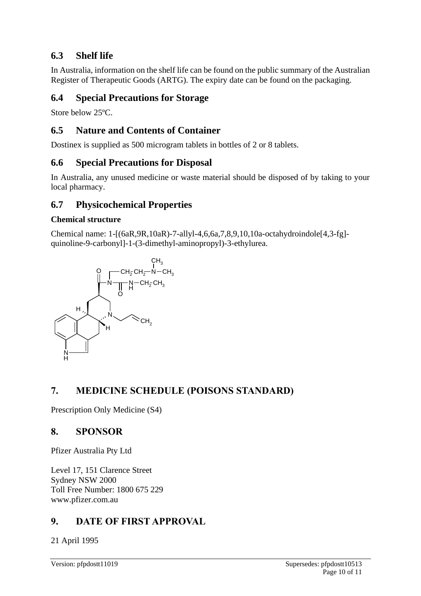# **6.3 Shelf life**

In Australia, information on the shelf life can be found on the public summary of the Australian Register of Therapeutic Goods (ARTG). The expiry date can be found on the packaging.

# **6.4 Special Precautions for Storage**

Store below 25ºC.

# **6.5 Nature and Contents of Container**

Dostinex is supplied as 500 microgram tablets in bottles of 2 or 8 tablets.

# **6.6 Special Precautions for Disposal**

In Australia, any unused medicine or waste material should be disposed of by taking to your local pharmacy.

# **6.7 Physicochemical Properties**

### **Chemical structure**

Chemical name: 1-[(6aR,9R,10aR)-7-allyl-4,6,6a,7,8,9,10,10a-octahydroindole[4,3-fg] quinoline-9-carbonyl]-1-(3-dimethyl-aminopropyl)-3-ethylurea.



# **7. MEDICINE SCHEDULE (POISONS STANDARD)**

Prescription Only Medicine (S4)

### **8. SPONSOR**

Pfizer Australia Pty Ltd

Level 17, 151 Clarence Street Sydney NSW 2000 Toll Free Number: 1800 675 229 www.pfizer.com.au

# **9. DATE OF FIRST APPROVAL**

21 April 1995